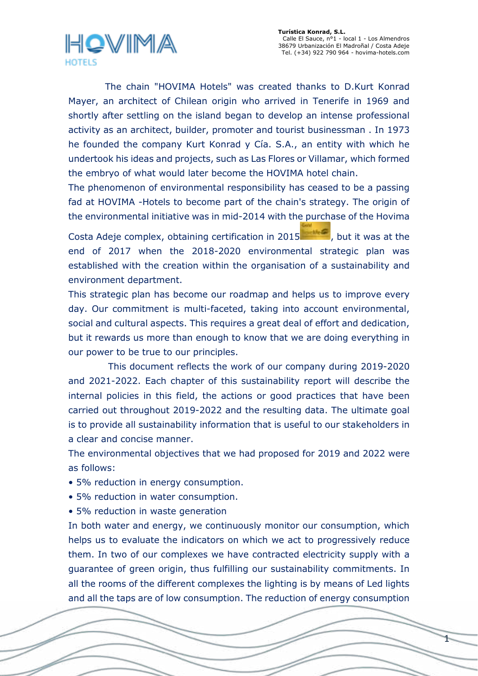

The chain "HOVIMA Hotels" was created thanks to D.Kurt Konrad Mayer, an architect of Chilean origin who arrived in Tenerife in 1969 and shortly after settling on the island began to develop an intense professional activity as an architect, builder, promoter and tourist businessman . In 1973 he founded the company Kurt Konrad y Cía. S.A., an entity with which he undertook his ideas and projects, such as Las Flores or Villamar, which formed the embryo of what would later become the HOVIMA hotel chain.

The phenomenon of environmental responsibility has ceased to be a passing fad at HOVIMA -Hotels to become part of the chain's strategy. The origin of the environmental initiative was in mid-2014 with the purchase of the Hovima Costa Adeje complex, obtaining certification in 2015  $\sim$  , but it was at the end of 2017 when the 2018-2020 environmental strategic plan was established with the creation within the organisation of a sustainability and environment department.

This strategic plan has become our roadmap and helps us to improve every day. Our commitment is multi-faceted, taking into account environmental, social and cultural aspects. This requires a great deal of effort and dedication, but it rewards us more than enough to know that we are doing everything in our power to be true to our principles.

 This document reflects the work of our company during 2019-2020 and 2021-2022. Each chapter of this sustainability report will describe the internal policies in this field, the actions or good practices that have been carried out throughout 2019-2022 and the resulting data. The ultimate goal is to provide all sustainability information that is useful to our stakeholders in a clear and concise manner.

The environmental objectives that we had proposed for 2019 and 2022 were as follows:

- 5% reduction in energy consumption.
- 5% reduction in water consumption.
- 5% reduction in waste generation

In both water and energy, we continuously monitor our consumption, which helps us to evaluate the indicators on which we act to progressively reduce them. In two of our complexes we have contracted electricity supply with a guarantee of green origin, thus fulfilling our sustainability commitments. In all the rooms of the different complexes the lighting is by means of Led lights and all the taps are of low consumption. The reduction of energy consumption

 $\overline{1}$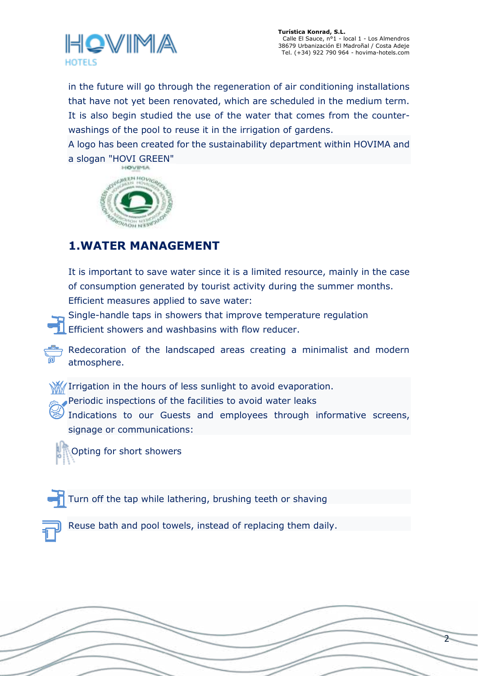

2

in the future will go through the regeneration of air conditioning installations that have not yet been renovated, which are scheduled in the medium term. It is also begin studied the use of the water that comes from the counterwashings of the pool to reuse it in the irrigation of gardens.

A logo has been created for the sustainability department within HOVIMA and a slogan "HOVI GREEN"



# **1.WATER MANAGEMENT**

It is important to save water since it is a limited resource, mainly in the case of consumption generated by tourist activity during the summer months. Efficient measures applied to save water:

Single-handle taps in showers that improve temperature regulation

Efficient showers and washbasins with flow reducer.

Redecoration of the landscaped areas creating a minimalist and modern atmosphere.

**We** Irrigation in the hours of less sunlight to avoid evaporation.

Periodic inspections of the facilities to avoid water leaks

Indications to our Guests and employees through informative screens, signage or communications:

Opting for short showers

Turn off the tap while lathering, brushing teeth or shaving

Reuse bath and pool towels, instead of replacing them daily.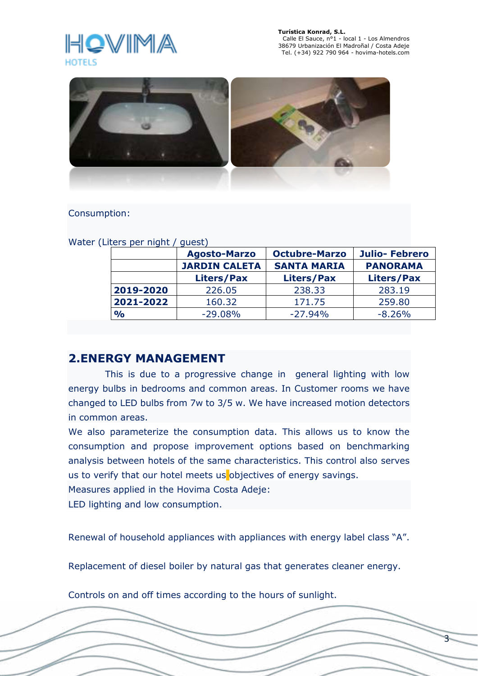

3



### Consumption:

| ן אוויר וטק טושוב<br>yuuu, |                      |                      |                      |
|----------------------------|----------------------|----------------------|----------------------|
|                            | <b>Agosto-Marzo</b>  | <b>Octubre-Marzo</b> | <b>Julio-Febrero</b> |
|                            | <b>JARDIN CALETA</b> | <b>SANTA MARIA</b>   | <b>PANORAMA</b>      |
|                            | <b>Liters/Pax</b>    | Liters/Pax           | <b>Liters/Pax</b>    |
| 2019-2020                  | 226.05               | 238.33               | 283.19               |
| 2021-2022                  | 160.32               | 171.75               | 259.80               |
| $\frac{1}{2}$              | $-29.08%$            | $-27.94%$            | $-8.26%$             |

Water (Liters per night / quest)

## **2.ENERGY MANAGEMENT**

 This is due to a progressive change in general lighting with low energy bulbs in bedrooms and common areas. In Customer rooms we have changed to LED bulbs from 7w to 3/5 w. We have increased motion detectors in common areas.

We also parameterize the consumption data. This allows us to know the consumption and propose improvement options based on benchmarking analysis between hotels of the same characteristics. This control also serves us to verify that our hotel meets us objectives of energy savings.

Measures applied in the Hovima Costa Adeje:

LED lighting and low consumption.

Renewal of household appliances with appliances with energy label class "A".

Replacement of diesel boiler by natural gas that generates cleaner energy.

Controls on and off times according to the hours of sunlight.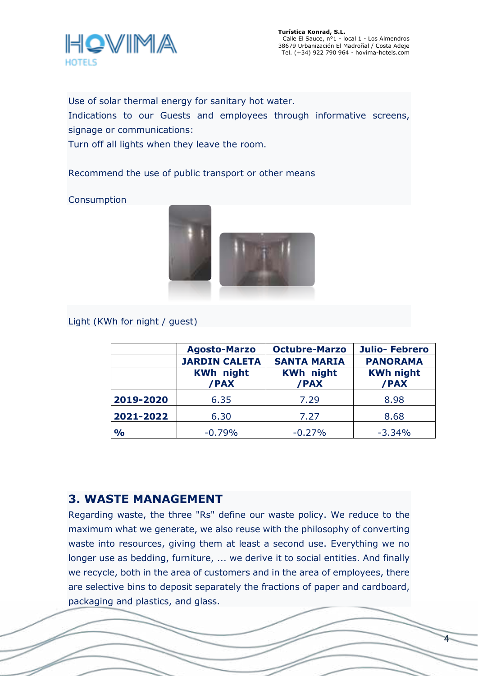

4

Use of solar thermal energy for sanitary hot water.

Indications to our Guests and employees through informative screens, signage or communications:

Turn off all lights when they leave the room.

Recommend the use of public transport or other means

Consumption



Light (KWh for night / guest)

|               | <b>Agosto-Marzo</b>      | <b>Octubre-Marzo</b>     | <b>Julio-Febrero</b>     |
|---------------|--------------------------|--------------------------|--------------------------|
|               | <b>JARDIN CALETA</b>     | <b>SANTA MARIA</b>       | <b>PANORAMA</b>          |
|               | <b>KWh night</b><br>/PAX | <b>KWh night</b><br>/PAX | <b>KWh night</b><br>/PAX |
| 2019-2020     | 6.35                     | 7.29                     | 8.98                     |
| 2021-2022     | 6.30                     | 7.27                     | 8.68                     |
| $\frac{1}{2}$ | $-0.79%$                 | $-0.27%$                 | $-3.34%$                 |

# **3. WASTE MANAGEMENT**

Regarding waste, the three "Rs" define our waste policy. We reduce to the maximum what we generate, we also reuse with the philosophy of converting waste into resources, giving them at least a second use. Everything we no longer use as bedding, furniture, ... we derive it to social entities. And finally we recycle, both in the area of customers and in the area of employees, there are selective bins to deposit separately the fractions of paper and cardboard, packaging and plastics, and glass.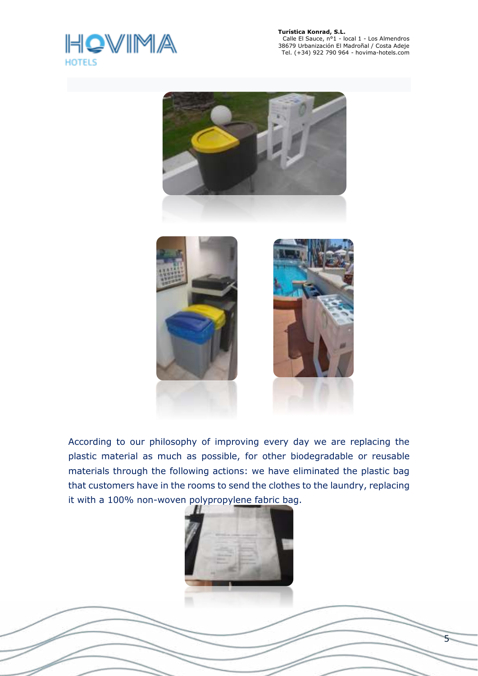

f

 Calle El Sauce, n°1 - local 1 - Los Almendros 38679 Urbanización El Madroñal / Costa Adeje Tel. (+34) 922 790 964 - hovima-hotels.com



According to our philosophy of improving every day we are replacing the plastic material as much as possible, for other biodegradable or reusable materials through the following actions: we have eliminated the plastic bag that customers have in the rooms to send the clothes to the laundry, replacing it with a 100% non-woven polypropylene fabric bag.



5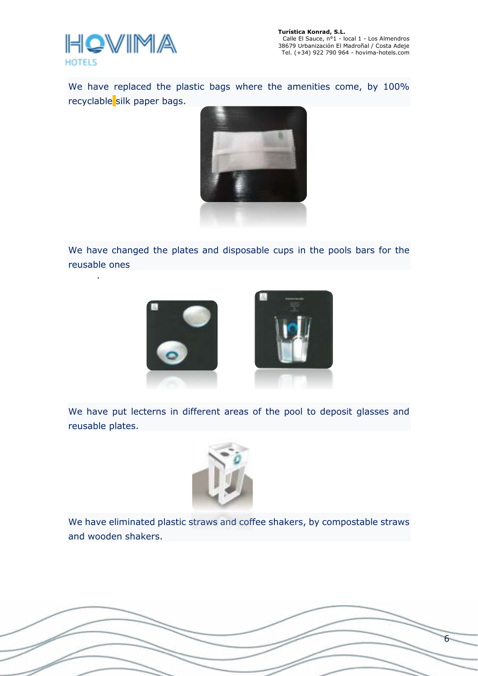

.

6

We have replaced the plastic bags where the amenities come, by 100% recyclable silk paper bags.



We have changed the plates and disposable cups in the pools bars for the reusable ones



We have put lecterns in different areas of the pool to deposit glasses and reusable plates.



We have eliminated plastic straws and coffee shakers, by compostable straws and wooden shakers.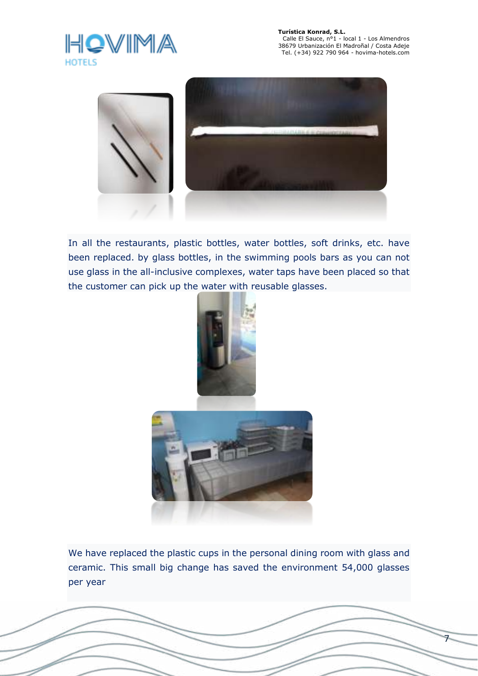

7



In all the restaurants, plastic bottles, water bottles, soft drinks, etc. have been replaced. by glass bottles, in the swimming pools bars as you can not use glass in the all-inclusive complexes, water taps have been placed so that the customer can pick up the water with reusable glasses.





We have replaced the plastic cups in the personal dining room with glass and ceramic. This small big change has saved the environment 54,000 glasses per year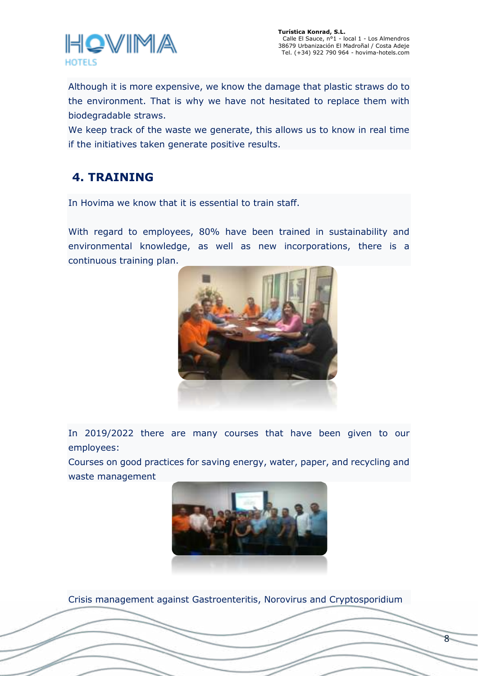

Although it is more expensive, we know the damage that plastic straws do to the environment. That is why we have not hesitated to replace them with biodegradable straws.

We keep track of the waste we generate, this allows us to know in real time if the initiatives taken generate positive results.

# **4. TRAINING**

In Hovima we know that it is essential to train staff.

With regard to employees, 80% have been trained in sustainability and environmental knowledge, as well as new incorporations, there is a continuous training plan.



In 2019/2022 there are many courses that have been given to our employees:

Courses on good practices for saving energy, water, paper, and recycling and waste management



8

Crisis management against Gastroenteritis, Norovirus and Cryptosporidium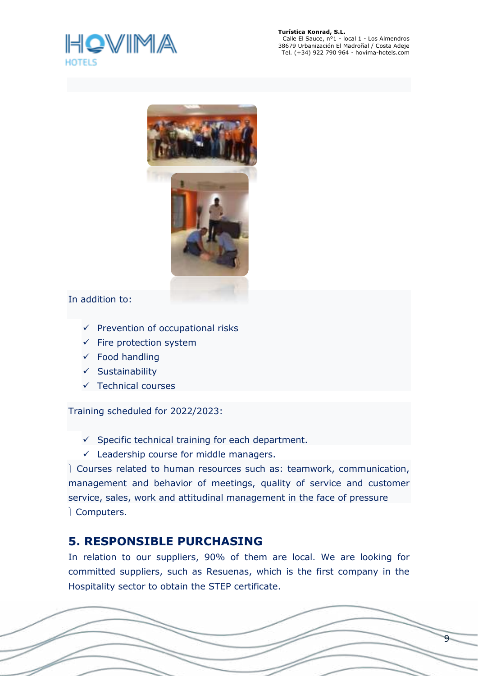



### In addition to:

- $\checkmark$  Prevention of occupational risks
- $\checkmark$  Fire protection system
- $\checkmark$  Food handling
- $\checkmark$  Sustainability
- $\checkmark$  Technical courses

Training scheduled for 2022/2023:

- $\checkmark$  Specific technical training for each department.
- $\checkmark$  Leadership course for middle managers.

 Courses related to human resources such as: teamwork, communication, management and behavior of meetings, quality of service and customer service, sales, work and attitudinal management in the face of pressure Computers.

# **5. RESPONSIBLE PURCHASING**

In relation to our suppliers, 90% of them are local. We are looking for committed suppliers, such as Resuenas, which is the first company in the Hospitality sector to obtain the STEP certificate.

9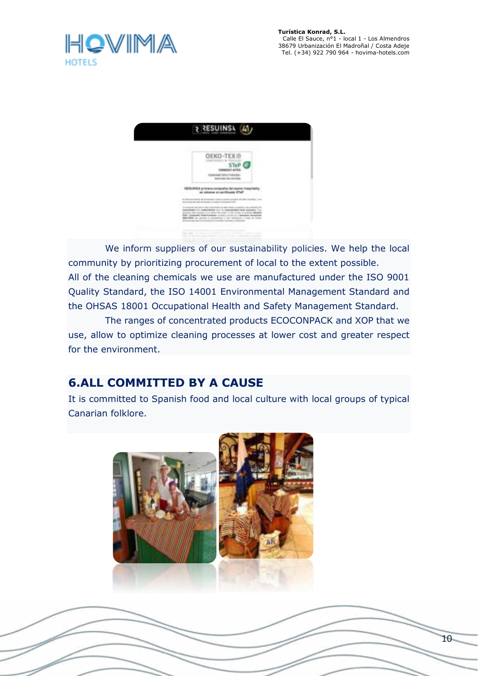



 We inform suppliers of our sustainability policies. We help the local community by prioritizing procurement of local to the extent possible. All of the cleaning chemicals we use are manufactured under the ISO 9001 Quality Standard, the ISO 14001 Environmental Management Standard and the OHSAS 18001 Occupational Health and Safety Management Standard.

 The ranges of concentrated products ECOCONPACK and XOP that we use, allow to optimize cleaning processes at lower cost and greater respect for the environment.

# **6.ALL COMMITTED BY A CAUSE**

It is committed to Spanish food and local culture with local groups of typical Canarian folklore.

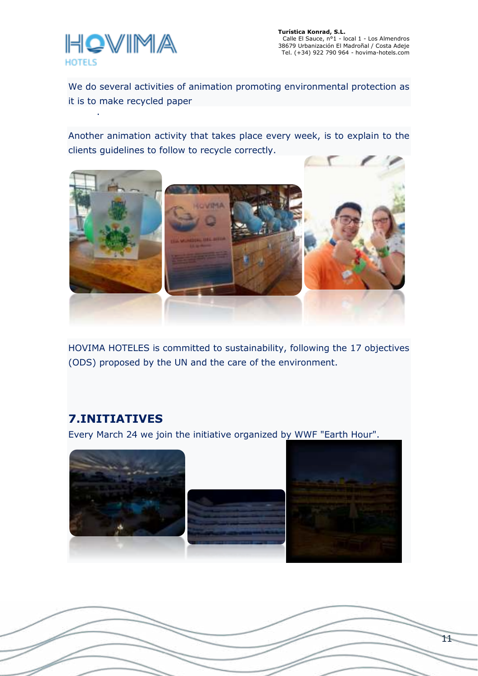

.

We do several activities of animation promoting environmental protection as it is to make recycled paper

Another animation activity that takes place every week, is to explain to the clients guidelines to follow to recycle correctly.



HOVIMA HOTELES is committed to sustainability, following the 17 objectives (ODS) proposed by the UN and the care of the environment.

## **7.INITIATIVES**

Every March 24 we join the initiative organized by WWF "Earth Hour".

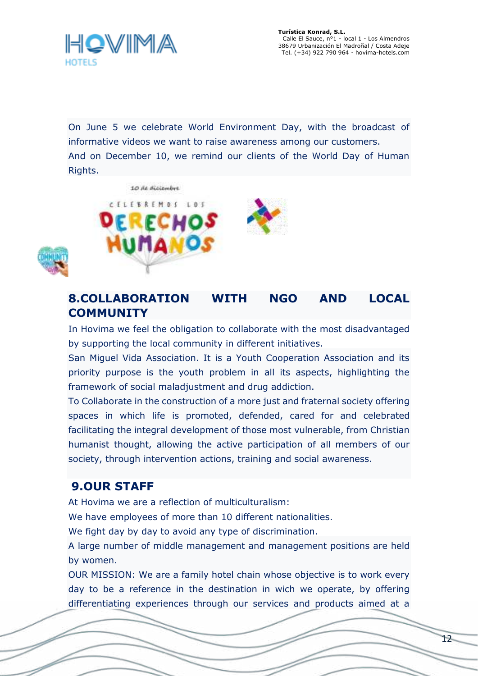

On June 5 we celebrate World Environment Day, with the broadcast of informative videos we want to raise awareness among our customers. And on December 10, we remind our clients of the World Day of Human Rights.



## **8.COLLABORATION WITH NGO AND LOCAL COMMUNITY**

In Hovima we feel the obligation to collaborate with the most disadvantaged by supporting the local community in different initiatives.

San Miguel Vida Association. It is a Youth Cooperation Association and its priority purpose is the youth problem in all its aspects, highlighting the framework of social maladjustment and drug addiction.

To Collaborate in the construction of a more just and fraternal society offering spaces in which life is promoted, defended, cared for and celebrated facilitating the integral development of those most vulnerable, from Christian humanist thought, allowing the active participation of all members of our society, through intervention actions, training and social awareness.

## **9.OUR STAFF**

At Hovima we are a reflection of multiculturalism:

We have employees of more than 10 different nationalities.

We fight day by day to avoid any type of discrimination.

A large number of middle management and management positions are held by women.

OUR MISSION: We are a family hotel chain whose objective is to work every day to be a reference in the destination in wich we operate, by offering differentiating experiences through our services and products aimed at a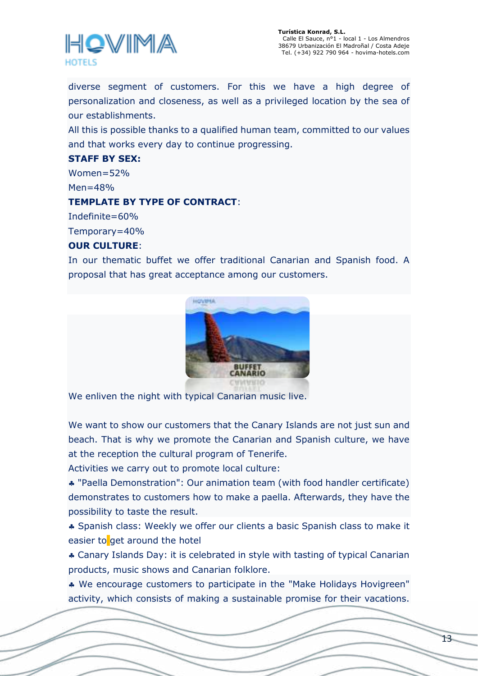

diverse segment of customers. For this we have a high degree of personalization and closeness, as well as a privileged location by the sea of our establishments.

All this is possible thanks to a qualified human team, committed to our values and that works every day to continue progressing.

#### **STAFF BY SEX:**

 $Women = 52%$  $Men = 48%$ 

#### **TEMPLATE BY TYPE OF CONTRACT**:

Indefinite=60%

Temporary=40%

#### **OUR CULTURE**:

In our thematic buffet we offer traditional Canarian and Spanish food. A proposal that has great acceptance among our customers.



We enliven the night with typical Canarian music live.

We want to show our customers that the Canary Islands are not just sun and beach. That is why we promote the Canarian and Spanish culture, we have at the reception the cultural program of Tenerife.

Activities we carry out to promote local culture:

 "Paella Demonstration": Our animation team (with food handler certificate) demonstrates to customers how to make a paella. Afterwards, they have the possibility to taste the result.

 Spanish class: Weekly we offer our clients a basic Spanish class to make it easier to get around the hotel

 Canary Islands Day: it is celebrated in style with tasting of typical Canarian products, music shows and Canarian folklore.

 We encourage customers to participate in the "Make Holidays Hovigreen" activity, which consists of making a sustainable promise for their vacations.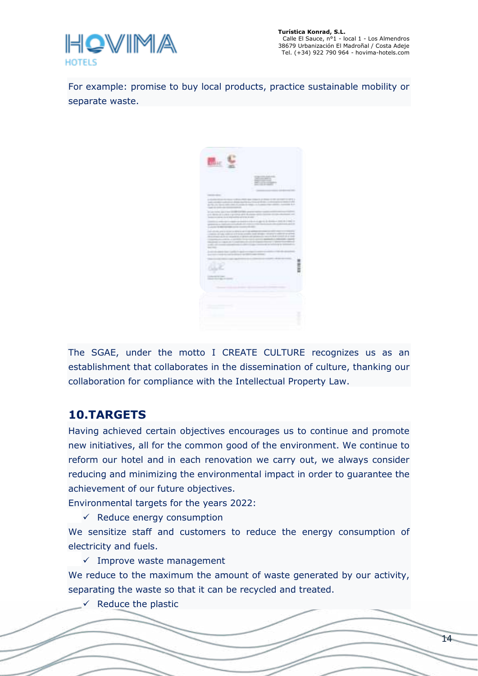

For example: promise to buy local products, practice sustainable mobility or separate waste.



The SGAE, under the motto I CREATE CULTURE recognizes us as an establishment that collaborates in the dissemination of culture, thanking our collaboration for compliance with the Intellectual Property Law.

# **10.TARGETS**

Having achieved certain objectives encourages us to continue and promote new initiatives, all for the common good of the environment. We continue to reform our hotel and in each renovation we carry out, we always consider reducing and minimizing the environmental impact in order to guarantee the achievement of our future objectives.

Environmental targets for the years 2022:

 $\checkmark$  Reduce energy consumption

We sensitize staff and customers to reduce the energy consumption of electricity and fuels.

 $\checkmark$  Improve waste management

We reduce to the maximum the amount of waste generated by our activity, separating the waste so that it can be recycled and treated.

Reduce the plastic